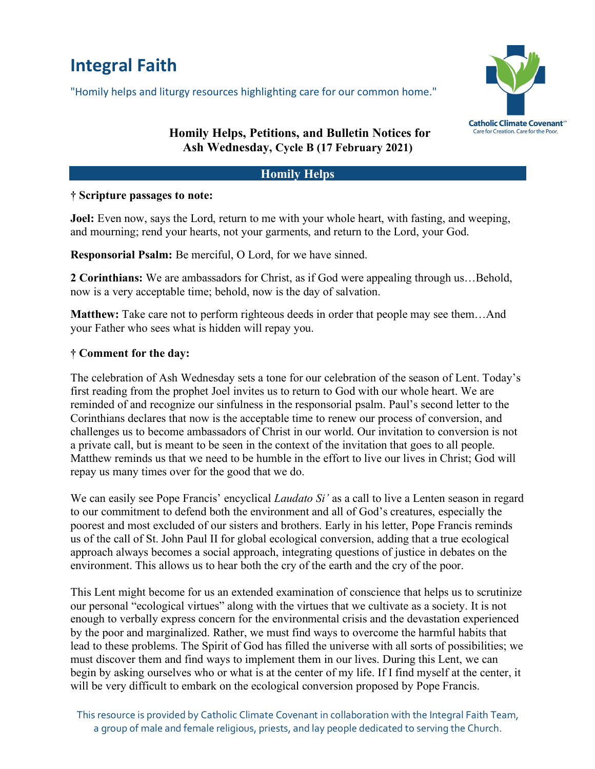# **Integral Faith**

"Homily helps and liturgy resources highlighting care for our common home."



## **Homily Helps, Petitions, and Bulletin Notices for Ash Wednesday, Cycle B (17 February 2021)**

#### **Homily Helps**

#### **† Scripture passages to note:**

**Joel:** Even now, says the Lord, return to me with your whole heart, with fasting, and weeping, and mourning; rend your hearts, not your garments, and return to the Lord, your God.

**Responsorial Psalm:** Be merciful, O Lord, for we have sinned.

**2 Corinthians:** We are ambassadors for Christ, as if God were appealing through us…Behold, now is a very acceptable time; behold, now is the day of salvation.

**Matthew:** Take care not to perform righteous deeds in order that people may see them…And your Father who sees what is hidden will repay you.

#### **† Comment for the day:**

The celebration of Ash Wednesday sets a tone for our celebration of the season of Lent. Today's first reading from the prophet Joel invites us to return to God with our whole heart. We are reminded of and recognize our sinfulness in the responsorial psalm. Paul's second letter to the Corinthians declares that now is the acceptable time to renew our process of conversion, and challenges us to become ambassadors of Christ in our world. Our invitation to conversion is not a private call, but is meant to be seen in the context of the invitation that goes to all people. Matthew reminds us that we need to be humble in the effort to live our lives in Christ; God will repay us many times over for the good that we do.

We can easily see Pope Francis' encyclical *Laudato Si'* as a call to live a Lenten season in regard to our commitment to defend both the environment and all of God's creatures, especially the poorest and most excluded of our sisters and brothers. Early in his letter, Pope Francis reminds us of the call of St. John Paul II for global ecological conversion, adding that a true ecological approach always becomes a social approach, integrating questions of justice in debates on the environment. This allows us to hear both the cry of the earth and the cry of the poor.

This Lent might become for us an extended examination of conscience that helps us to scrutinize our personal "ecological virtues" along with the virtues that we cultivate as a society. It is not enough to verbally express concern for the environmental crisis and the devastation experienced by the poor and marginalized. Rather, we must find ways to overcome the harmful habits that lead to these problems. The Spirit of God has filled the universe with all sorts of possibilities; we must discover them and find ways to implement them in our lives. During this Lent, we can begin by asking ourselves who or what is at the center of my life. If I find myself at the center, it will be very difficult to embark on the ecological conversion proposed by Pope Francis.

This resource is provided by Catholic Climate Covenant in collaboration with the Integral Faith Team, a group of male and female religious, priests, and lay people dedicated to serving the Church.